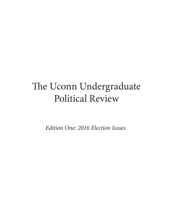# The Uconn Undergraduate Political Review

*Edition One: 2016 Election Issues*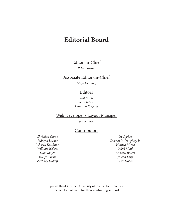### **Editorial Board**

Editor-In-Chief

#### *Peter Bassine*

#### Associate Editor-In-Chief

*Maye Henning* 

#### Editors

*Will Fricke Sam Julien Harrison Fregeau* 

#### Web Developer / Layout Manager

*Jamie Buck* 

#### **Contributors**

*Christian Caron Rubayet Lasker Rebecca Kaufman Kylie Moyle Evelyn Luchs Zachary Dukof* 

*Joy Sgobbo Darren D. Daughtry Jr. Humza Mirza William Welenc* **Isabel Blank** *Isabel Blank Andrew Bolger Joseph Fong Peter Hopko* 

> Special thanks to the University of Connecticut Political Science Department for their continuing support.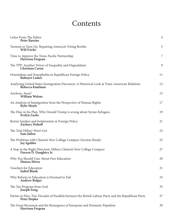# **Contents**

| Letter From The Editor<br><b>Peter Bassine</b>                                                                     | $\overline{4}$ |
|--------------------------------------------------------------------------------------------------------------------|----------------|
| Turnout or Turn Up: Repairing America's Voting Booths<br>Will Fricke                                               | 5              |
| Time to Approve the Trans-Pacific Partnership<br><b>Harrison Fregeau</b>                                           | 7              |
| The TPP: Another Driver of Inequality and Degradation<br><b>Christian Caron</b>                                    | 9              |
| Orientalism and Xenophobia in Republican Foreign Policy<br><b>Rubayet Lasker</b>                                   | 11             |
| Analyzing United States Immigration Discourse: A Historical Look at Trans-American Relations<br>Rebecca Kaufman    | 13             |
| Anchors, Away!<br>William Welenc                                                                                   | 15             |
| An Analysis of Immigration from the Perspective of Human Rights<br><b>Kylie Moyle</b>                              | 17             |
| The Flaw in his Plan: Why Donald Trump is wrong about Syrian Refugees<br><b>Evelyn Luchs</b>                       | 19             |
| Bernie Sanders and Isolationism in Foreign Policy<br><b>Zachary Dukoff</b>                                         | 21             |
| The Trial Hillary Won't Get<br>Sam Julien                                                                          | 23             |
| The Problems with Clinton's New College Compact (Section Break)<br><b>Joy Sgobbo</b>                               | 25             |
| A Step in the Right Direction: Hillary Clinton's New College Compact<br>Darren D. Daughtry Jr.                     | 27             |
| Why You Should Care About Free Education<br>Humza Mirza                                                            | 29             |
| Vouchers for Education<br><b>Isabel Blank</b>                                                                      | 31             |
| Why Reform in Education is Doomed to Fail<br><b>Andrew Bolger</b>                                                  | 33             |
| The Tax Program from God<br><b>Joseph Fong</b>                                                                     | 35             |
| Parties in Flux: Two Decades of Parallels between the British Labour Party and the Republican Party<br>Peter Hopko | 37             |
| The Great Recession and the Resurgence of European and Domestic Populism<br><b>Harrison Fregeau</b>                | 39             |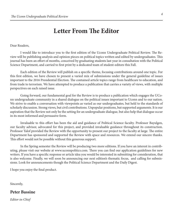### **Letter From The Editor**

Dear Readers,

I would like to introduce you to the first edition of the Uconn Undergraduate Political Review. The Review will be publishing analysis and opinion pieces on political topics written and edited by undergraduates. Tis journal has been an effort of months, conceived by graduating students last year in consultation with the Political Science Department, and carried to frst print by a dedicated team of student-editors this Fall.

Each edition of the Review will publish on a specifc theme, focusing contributions around one topic. For this frst edition, we have chosen to present a varied mix of submissions under the general guideline of issues important to the 2016 Presidential Election. The contained article topics range from healthcare to education, and from trade to terrorism. We have attempted to produce a publication that carries a variety of views, with multiple perspectives on each raised issue.

Going forward, our fundamental goal for the Review is to produce a publication which engages the UConn undergraduate community in a shared dialogue on the political issues important to Uconn and to our nation. We strive to enable a conversation with viewpoints as varied as our undergraduates, but held to the standards of scholarly discussion. Strong views, but civil contributions. Unpopular positions, but supported arguments. It is our aspiration that the Review not only be the setting for an undergraduate dialogue, but also help that dialogue occur in its most informed and persuasive form.

Invaluable to this efort has been the aid and guidance of Political Science faculty. Professor Bayulgen, our faculty advisor, advocated for this project, and provided invaluable guidance throughout its construction. Professor Yalof provided the Review with the opportunity to present our project to the faculty at large. The entire Department has sponsored and supported the Review with space and resources. We extend our sincere thanks. This effort would not be possible without this generous support.

In the Spring semester the Review will be producing two more editions. If you have an interest in contributing, please visit our website at [www.uconnpolitics.com.](www.uconnpolitics.com) There you can find our application guidelines for new writers. If you have a specifc response or article idea you would be interested in submitting for consideration, that is also welcome. Finally, we will soon be announcing our next edition's thematic focus, and calling for submissions. Look for announcements though the Political Science Department and the Daily Digest.

I hope you enjoy the fnal product.

Sincerely,

#### **Peter Bassine**

*Editor-in-Chief*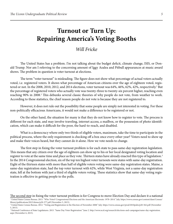# **Turnout or Turn Up: Repairing America's Voting Booths**

#### *Will Fricke*

The United States has a problem. I'm not talking about the budget deficit, climate change, ISIS, or Donald Trump. Nor am I referring to the concerning amount of Iggy Azalea and Pitbull appearances at music award shows. The problem in question is voter turnout at elections.

The term "voter turnout" is misleading. The figure does not show what percentage of actual voters actually voted, i.e. registered voters. It shows what percentage of American citizens over the age of eighteen voted, registered or not. In the 2008, 2010, 2012, and 2014 elections, voter turnout was 64%, 46%, 62%, 42%, respectively.<sup>1</sup> But the percentage of registered voters who actually vote was twenty-three to twenty-six percent higher, reaching even reaching 90% in 2008.<sup>2</sup> This debunks several classic theories of why people do not vote, from weather to work. According to these statistics, the chief reason people do not vote is because they are not registered to.

However, it does not rule out the possibility that some people are simply not interested in voting. For these non-politically efficacious Americans, it would not make a difference to be registered or not.

On the other hand, the situation for many is that they do not know how to register to vote. The process is diferent for each state, and may involve traveling, internet access, a mailbox, or the possession of photo identifcation, which can make it difficult for the poor, the hard-to-reach, and disabled.

What is a democracy where only two thirds of eligible voters, maximum, take the time to participate in the political process, where the only requirement is checking of a box once every other year? Voters need to show up and make their voices heard, but they cannot do it alone. How we vote needs to change.

The first step in fixing the voter turnout problem is for each state to pass same-day registration legislation. This means that any citizen over the age of eighteen can show up to his or her local designated voting location and register to vote at the same time and place as they vote. Thirteen states have already enacted this type of legislation.<sup>3</sup> In the 2014 Congressional election, six of the top ten highest voter turnouts were states with same-day registration. Eight of the thirteen states with more than half of eligible voters voting were same-day registration states. Maine, a same-day registration state, had the top voter turnout with 62%, while West Virginia, not a same-day registration state, fell at the bottom with just a third of eligible voters voting. These statistics show that same-day voting registration is efective in getting people to the polls.

The second step in fixing the voter turnout problem is for Congress to move Election Day and declare it a national

<sup>&</sup>lt;sup>1</sup> United States Census Bureau. 2015. "Who Votes? Congressional Elections and the American Electorate: 1978-2014." July.<https://www.census.gov/content/dam/Census>/ library/publications/2015/demo/p20-577.pdf (November 5, 2015).

<sup>2</sup> United States Census Bureau. 2012. "Voting and Registration in the Election of November 2008." July.<https://www.census.gov/prod/2010pubs/p20-562.pdf> (November 5, 2015).

<sup>3</sup> National Conference of State Legislatures. 2015. "Same Day Voter Registration." June 2.<http://www.ncsl.org/research/elections-and-campaigns/same-day-registration>. aspx (November 6, 2015).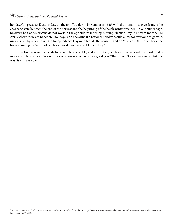holiday. Congress set Election Day on the frst Tuesday in November in 1845, with the intention to give farmers the chance to vote between the end of the harvest and the beginning of the harsh winter weather.<sup>4</sup> In our current age, however, half of Americans do not work in the agriculture industry. Moving Election Day to a warm month, like April, where there are no federal holidays, and declaring it a national holiday, would allow for everyone to go vote, unrestricted by work hours. On Independence Day we celebrate the country, and on Veterans Day we celebrate the bravest among us. Why not celebrate our democracy on Election Day?

Voting in America needs to be simple, accessible, and most of all, celebrated. What kind of a modern democracy only has two thirds of its voters show up the polls, in a good year? The United States needs to rethink the way its citizens vote.

<sup>4</sup> Andrews, Evan. 2013. "Why do we vote on a Tuesday in November?" October 30. <http://www.history.com/news/ask-history/why-do-we-vote-on-a-tuesday-in-novem>ber (November 7, 2015)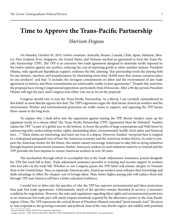### **Time to Approve the Trans-Pacifc Partnership**

#### *Harrison Fregeau*

On Monday, October 05, 2015, twelve countries, Australia, Brunei, Canada, Chile, Japan, Malaysia, Mexico, New Zealand, Peru, Singapore, the United States, and Vietnam reached an agreement to form the Trans-Pacific Partnership (TPP). The TPP is an extensive free trade agreement designed to eliminate tariffs imposed by the twelve nations against one another; reducing the cost of exporting goods to other member nations. President Obama, with signifcant Republican support, endorses the bill, claiming "this partnership levels the playing feld for our farmers, ranchers, and manufacturers, by eliminating more than 18,000 taxes that various countries place on our products" and that "it includes the strongest commitments on labor and the environment of any trade agreement in history, and these commitments are enforceable, unlike in past agreements<sup>1</sup>." Despite this assertion, the proposal faces strong Congressional opposition, particularly from Democrats. Afer a 90 day period, President Obama will sign the pact, and Congress may either vote yes or no on the proposal.

Congress should vote to join the Trans-Pacifc Partnership. As a liberal, I am certainly outnumbered in this belief: as most liberals oppose this deal. The TPP's opponents argue the deal harms American workers and the environment. Worker and environmental protection are noble causes to support, and opposing the TPP harms those causes in the long term.

To explain why, I shall delve into the arguments against joining the TPP. Bernie Sanders sums up the argument nicely in a release titled "the Trans-Pacifc Partnership (TPP) Agreement Must Be Defeated". Sanders claims the TPP "is part of a global race to the bottom, to boost the profts of large corporations and Wall Street by outsourcing jobs; undercutting worker rights; dismantling labor, environmental, health, food safety and fnancial laws…<sup>2</sup>" These claims are interesting, and many are true to a degree. However, Sanders' viewpoint here is trapped in a widespread antiquated view of how the American economy and the American worker thrives. In order to prepare the American worker for the future, this nation cannot encourage Americans to take jobs in dying industries through hopeless protectionist measures. Rather, American workers in such industries must be re-trained and the TPP provides the best impetus to retrain American workers in over 20 years.

The mechanism through which to accomplish this is the Trade Adjustment Assistance; passed alongside the TPA fast track bill in June. Trade adjustment assistance provides re-training and income support to workers who lost jobs via the trade bill. Whether or not Congress passes the TPP, labor will remain cheaper in Vietnam than in the United States. Thus, to repatriate American jobs, American workers must enhance their knowledge and skills advantage to offset the cheaper cost of foreign labor. Thus, better higher paying jobs will replace those lost through TPP and America will have a better educated workforce.

I would love to delve into the specifcs of why the TPP has superior environmental and labor protections than past free trade agreements. Unfortunately, much of the specifcs remain shrouded in secrecy; a necessary condition for negotiation. However, the rules and regulations regarding labor rights and environmental protection in an American-led trade pact will surely surpass standards required by the alternative power in the Asia-Pacifc region: China. The TPP represents the critical thrust of President Obama's intended "pivot towards Asia". The pivot to Asia responds to the growing economic and political clout of the Asia-Pacifc region: one riddled with potential

<sup>1</sup> Barack Obama, Office of the Press Secretary Statement,<br><sup>2</sup> Sanders Bernie. "THE TRANS-PACIEIC TRADE (TPP)

<sup>&</sup>lt;sup>2</sup> Sanders Bernie, "THE TRANS-PACIFIC TRADE (TPP) AGREEMENT MUST BE DEFEATED" Accessed online.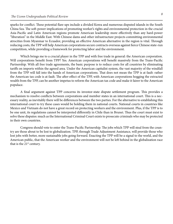sparks for conflict. These potential flare ups include a divided Korea and numerous disputed islands in the South China Sea. The soft-power implications of promoting worker's rights and environmental protection in the crucial Asia-Pacifc and Latin American regions promote American leadership more efectively than any hard-power "liberation" in the Middle East. With Chinese dams and other infrastructure projects committing environmental atrocities from Myanmar to Ecuador, providing an effective American alternative in the region is vital. Through reducing costs, the TPP will help American corporations secure contracts overseas against ferce Chinese state-run competition, while providing a framework for protecting labor and the environment.

Which brings me to a crucial player in the TPP and with free trade in general: the American corporation. Will corporations beneft from TPP? Yes. American corporations will beneft massively from the Trans-Pacifc Partnership. With all free trade agreements, the basic purpose is to reduce costs for all countries by eliminating tarifs on imports within the agreed area. Under the American capitalist system, the vast majority of the windfall from the TPP will fall into the hands of American corporations. That does not mean the TPP is at fault: rather the American tax code is at fault. The after-effect of the TPP, with American corporations hogging the extracted wealth from the TPP, can be another impetus to reform the American tax code and make it fairer to the American populace.

A final argument against TPP concerns its investor-state dispute settlement program. This provides a mechanism to resolve conflicts between corporations and member states in an international court. This is a necessary reality, as inevitably there will be diferences between the two parties. For the alternative to establishing this international court to try these cases would be holding them in national courts. National courts in countries like Mexico and Vietnam do not have a great record on protecting workers and the environment. Plus, if the TPP is to be one unit, its regulations cannot be interpreted differently in Chile than in Brunei. Thus the court must exist to solve these disputes: much as the International Criminal Court exists to prosecute criminals who may be protected in their own countries.

Congress should vote to enter the Trans-Pacific Partnership. The jobs which TPP will steal from the country are those about to be lost to globalization. TPP, through Trade Adjustment Assistance, will provide those who lost jobs with better, more sustainable jobs going forward. Enacting the TPP will be a signal to the world, and the American public, that the American worker and the environment will not be left behind in the globalization race that is the  $21<sup>st</sup>$  century.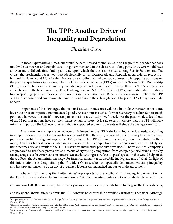## **The TPP: Another Driver of Inequality and Degradation**

#### *Christian Caron*

In these hyperpartisan times, one would be hard-pressed to fnd an issue on the political agenda that does not divide Democrats and Republicans—in government and in the electorate—along party lines. One would have an even more difficult time finding an issue upon which there is a consensus among Bernie Sanders and Ted Cruz—the presidential race's two most ideologically driven Democratic and Republican candidates, respectively—and Ed Schultz and Mark Levin—frebrand talk-radio hosts who occupy diametrically opposite positions on the political spectrum. Opposition to harmful free trade agreements (FTAs) such as the Trans-Pacifc Partnership (TPP), it seems, transcends partisanship and ideology, and with good reason. The results of the TPP's predecessors are in: by way of the North American Free Trade Agreement (NAFTA) and other FTAs, multinational corporations have reaped huge profts at the expense of workers and the environment. Because there is reason to believe the TPP will have economic and environmental ramifcations akin to those brought about by prior FTAs, Congress should reject it.

Proponents of the TPP argue that its tarif reduction measures will be a boon for American exports and lower the price of imported manufactured goods. As economists such as former Secretary of Labor Robert Reich point out, however, most tarifs between partner nations are already low. Indeed, over the past two decades, 10 out of the 12 partner nations have cut their tariffs by half or more.<sup>1</sup> It is safe to say, therefore, that the TPP will have minimal impact on the U.S. economy and that its supposed economic benefts will elude the average American.

At a time of nearly unprecedented economic inequality, the TPP is the last thing America needs. According to a report released by the Center for Economic and Policy Research, increased trade intensity has been at least partly responsible for stagnant wages since 1990, a trend the TPP will surely perpetuate, if not exacerbate. Furthermore, America's highest earners, who are least susceptible to competition from workers overseas, will likely see their incomes rise as a result of the TPP's restrictive intellectual property provisions.<sup>2</sup> Pharmaceutical companies are prepared to use these provisions as a means of stymieing competition from cheaper generic brands, thereby raising drug costs for American consumers.<sup>3</sup> Meanwhile, Congress refuses to pass legislation that would help offset these efects: the federal minimum wage, for instance, remains at its woefully inadequate rate of \$7.25. In light of this information, it is disappointing that President Obama, who has repeatedly denounced widening inequality and has proven himself to be an ally of organized labor, is an unabashed supporter of the agreement.

Jobs will rank among the United States' top exports to the Pacifc Rim following implementation of the TPP. In the years since the implementation of NAFTA, alarming trade defcits with Mexico have led to the

elimination of 700,000 American jobs. Currency manipulation is a major contributor to the growth of trade deficits,

and President Obama himself admits the TPP contains no enforceable provisions against this behavior. Although

<sup>1</sup> Cooper, Preston. 2015. "TPP Won't Be a Game Changer for the Economy." October 7. <http://www.economics21.org/commentary/tpp-wont-game-changer-economy> (October 18, 2015).

<sup>2</sup> Rosnick, David. 2013. "Gains from Trade? Te Net Efect of the Trans-Pacifc Partnership on U.S. Wages." *Center for Economic and Policy Research*. <http://www.cepr.net>/ documents/publications/TPP-2013-09.pdf (October 5, 2015).

<sup>3</sup> Marcin, Tim. 2015. "Trans-Pacifc Partnership Health And Medicine Policies Could Hurt Poor Nations, Boost Pharmaceutical Companies." *International Business Times*, 12 May.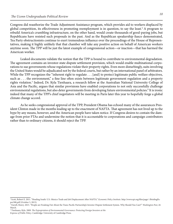Congress did reauthorize the Trade Adjustment Assistance program, which provides aid to workers displaced by global competition, its effectiveness in promoting reemployment is in question, to say the least.<sup>4</sup> A program to rebuild America's crumbling infrastructure, on the other hand, would create thousands of good-paying jobs, but Republicans have resisted such proposals in the past. And as the Republican speakership fasco demonstrated, Tea Party obstructionists continue to exert tremendous infuence over the proceedings of the House of Representatives, making it highly unlikely that that chamber will take any positive action on behalf of American workers anytime soon. The TPP will be just the latest example of congressional action—or inaction—that has harmed the American worker.

Leaked documents validate the notion that the TPP is bound to contribute to environmental degradation. The agreement contains an investor-state dispute settlement provision, which would enable multinational corporations to sue governments whose regulations violate their property rights. Even more disturbingly, suits involving the United States would be adjudicated not by the federal courts, but rather by an international panel of arbitrators. While the TPP recognizes the "inherent right to regulate . . . [and] to protect legitimate public welfare objectives, such as . . . the environment," a fine line often exists between legitimate government regulation and a property rights violation.5 Indeed, Dr. Kyla Tienhaara, a research fellow at the Australian National University College of Asia and the Pacifc, argues that similar provisions have enabled corporations to not only successfully challenge environmental regulations, but also deter governments from developing future environmental policies.<sup>6</sup> It is ironic indeed that many of the TPP's chief negotiators will be meeting in Paris later this year to hopefully forge a global climate change accord.

As he seeks congressional approval of the TPP, President Obama has echoed many of the assurances President Clinton made in the months leading up to the enactment of NAFTA. That agreement has not lived up to the hype by any means, however, and the American people have taken notice. If Congress desires to contain the damage from prior FTAs and undermine the notion that it is accountable to corporations and campaign contributors rather than to ordinary citizens, it should reject the TPP.

 $^{\rm 6}$  Tienhaara, Kyla. 2009. *The Expropriation of Environmental Governance: Protecting Foreign Investors at the Expense of Public Policy*. Cambridge: University of Cambridge Press.

<sup>4</sup> Scott, Robert E. 2011. "Heading South: U.S.-Mexico Trade and Job Displacement Afer NAFTA." *Economic Policy Institute*. [http://www.epi.org/fles/page/-/BriefngPa](http://www.epi.org/files/page/-/BriefingPa)per308.pdf (October 5, 2015).

<sup>5</sup> Farrell, Henry. 2015. "People are Freaking Out About the Trans-Pacifc Partnership's Investor Dispute Settlement System. Why Should You Care?" *Washington Post*, 26 March.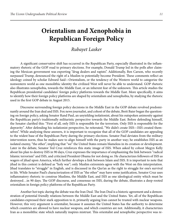### **Orientalism and Xenophobia in Republican Foreign Policy**

#### *Rubayet Lasker*

A significant conservative shift has occurred in the Republican Party, especially illustrated in the inflammatory rhetoric of the GOP road to primary elections. For example, Donald Trump led in the polls afer claiming the Mexican government was exporting "drug dealers and rapists". Additionally, Ben Carson, who recently surpassed Trump, denounced the right of a Muslim to potentially become President. These comments reflect an ideology coined by scholar Edward Said—Orientalism, or the tendency of the Western world to categorize the nonwestern world as one monolithic identity the civilized West will never be able to understand. GOP rhetoric also illustrates xenophobia, towards the Middle East, or an inherent fear of the unknown. This article studies the Republican presidential candidates' foreign policy platforms towards the Middle East. More specifcally, it aims to identify how their foreign policy platforms are shaped by orientalism and xenophobia, by studying the rhetoric used in the frst GOP debate in August 2015.

Discourse surrounding foreign policy decisions in the Middle East in the GOP debate revolved predominantly around the Iran deal and ISIS. Fox news journalist, and cohost of the debate, Brett Baier began the questioning on foreign policy, asking Senator Rand Paul, an unyielding isolationist, about his outspoken animosity against the Republican party's traditionally militaristic perspective towards the Middle East. Before defending himself, the Senator clarifed this: "First of all, only ISIS is responsible for the terrorism. Only ISIS is responsible for the depravity". After defending his isolationist perspective, he reiterated, "We didn't create ISIS—ISIS created themselves". While analyzing these answers, it is important to recognize that all of the GOP candidates are appealing to the widest base of the Republican Party during the primary elections. Senator Paul deviates from the military intervention norm, thus he makes sure to align himself with the party in another way; he establishes ISIS as an isolated enemy, "the other", implying that "we" the United States remain blameless in its creation or development. Later in the debate, Senator Ted Cruz reinforces this static image of ISIS. When asked by cohost Megyn Kelly about his plan to destroy ISIS in 90 days, Cruz expresses the importance of emphasizing the link between "radical Islamic terrorism" and ISIS, and criticized President Obama for not doing so. He characterizes followers of ISIS as wagers of jihad upon America, which further develops a link between Islam and ISIS. It is important to note that jihad in this context is defned as "holy war"; only Muslim extremists agree with the West on this interpretation. Jihad translates to "struggle" in English, and is discussed in the Qur'an as the right to struggle for one's survival in life. While Senator Paul's characterization of ISIS as "the other" may have some justifcation, Senator Cruz uses infammatory rhetoric to construe Muslims, the Middle East, and ISIS as one ideological entity which must be destroyed...in 90 days. The GOP discourse, and consensus on ISIS, during the debate, illustrates a deep-rooted orientalism in foreign policy platforms of the Republican Party.

Another hot topic during the debate was the Iran Deal. The Iran Deal is a historic agreement and a demonstration of potential friendly relations between the Middle East and the United States. Yet, all of the Republican candidates expressed their stark opposition to it, primarily arguing Iran cannot be trusted with nuclear weapons. However, this very argument is orientalist, because it assumes the United States has the authority to determine which countries are allowed to have nuclear weapons, and which countries are not. Additionally, it characterizes Iran as a monolithic state which naturally inspires mistrust. This orientalist and xenophobic perspective was re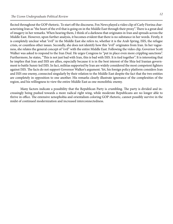flected throughout the GOP rhetoric. To start off the discourse, Fox News played a video clip of Carly Fiorina characterizing Iran as "the heart of the evil that is going on in the Middle East through their proxy". There is a great deal of imagery in her remarks. When hearing them, I think of a darkness that originates in Iran and spreads across the Middle East. However, upon further analysis, it becomes evident that there is no substance in her words. Firstly, it is completely unclear what "evil" in the Middle East she refers to, whether it is the Arab Spring, ISIS, the refugee crisis, or countless other issues. Secondly, she does not identify how this "evil" originates from Iran. In her vagueness, she relates the general concept of "evil" with the entire Middle East. Following the video clip, Governor Scott Walker was asked to respond to the Iran Deal. He urges Congress to "put in place even more crippling sanctions". Furthermore, he states, "This is not just bad with Iran, this is bad with ISIS. It is tied together". It is interesting that he implies that Iran and ISIS are allies, especially because it is in the best interest of the Shia-led Iranian government to battle Sunni-led ISIS. In fact, militias supported by Iran are widely considered the most competent fghters against ISIS. The facts do not support Governor Walker's argument. Yet, his foreign policy platform considers Iran and ISIS one enemy, connected singularly by their relation to the Middle East despite the fact that the two entities are completely in opposition to one another. His remarks clearly illustrate ignorance of the complexities of the region, and his willingness to view the entire Middle East as one monolithic enemy.

Many factors indicate a possibility that the Republican Party is crumbling. The party is divided and increasingly being pushed towards a more radical right wing, while moderate Republicans are no longer able to thrive in office. The extensive xenophobia and orientalism coloring GOP rhetoric, cannot possibly survive in the midst of continued modernization and increased interconnectedness.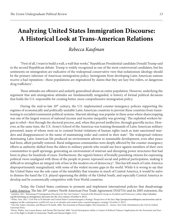### **Analyzing United States Immigration Discourse: A Historical Look at Trans-American Relations**

#### *Rebecca Kaufman*

"First of all, I want to build a wall, a wall that works," Republican Presidential candidate Donald Trump said in the second Republican debate. Trump is widely recognized as one of the most controversial candidates, but his sentiments on immigration are indicative of the widespread conservative view that isolationism ideology should be the primary informer of American immigration policy. Immigrants from developing Latin American nations receive a bad reputation—these populations are stigmatized by claims that they are lazy free riders, or dangerous drug traffickers<sup>1</sup>.

These attitudes are offensive and unfairly generalized about an entire population. However, underlying the argument that anti-immigration attitudes are fundamentally misguided, is history of formal political decisions that holds the U.S. responsible for creating better, more comprehensive immigration policy.

During the mid-to-late 20<sup>th</sup> century, the U.S. implemented counter-insurgency policies supporting the regimes of economically and politically unstable Latin American countries to prevent these countries from transitioning to socialist/communist political systems. Marxist ideology was popular in these areas where sharecropping was one of the largest sources of national income and income inequality was growing<sup>2</sup>. The exploited workers began to rebel—frst through the electoral process, and, when this proved inefective, through guerrilla tactics. However, at the same time, the U.S. Army's School of the Americas was training thousands of Latin American military personnel, many of whom went on to commit brutal violations of human rights (such as state-sanctioned murders and disappearances) in the name of maintaining order and control in their state<sup>3</sup>. The widespread violence dominating Latin American life produced an environment adverse to sustainable development, even afer peace had been, albeit partially restored. Rural indigenous communities were deeply affected by the counter-insurgency eforts as authority shifed from the elders to military patrols who would use force against members of their own communities to quell uprisings, generating an environment of mistrust and disrupting power structures that had been in place for hundreds of years. Furthermore, the region's history of brutally punishing citizens for expressing political views unaligned with those of the people in power repressed social and political participation, making it difficult to strengthen an integral rule of law in the modern era of democracy<sup>4</sup>. This has left much of Latin America disproportionately marginalized, with some of the widest income gaps in the world. While it is wrong to say that the United States was the sole cause of the instability that remains in much of Central America, it would be naïve to dismiss the hand the U.S. played oppressing the ability of the Global South, and especially Central America to develop and be economically competitive with First World countries.

Today, the United States continues to promote and implement international policies that disadvantage Latin America. The late 20<sup>th</sup> century North American Free Trade Agreement (NAFTA) and its 2005 extension, the sdonline. 2011. 'Reframing US Immigration Discourse for the 21st Century\*.' Journal of the Research Group on Socialism and Democracy online. <http://sdonline>.

4 Flores, Walter, Ana Lorena Ruano, and Denise Phé Funchal. 2009. 'Social Participation within a Context of Political Violence: Implications for the Promotion and Exercise of the Right to Health in Guatemala.' Health and Human Rights 11(1).

org/48/reframing-us-immigration-discourse-for-the-21st-century/ (October 9, 2015). 2 White, Tom. 2012. 'Civil War in El Salvador and United States Counterinsurgency Strategy.' Perspectives of the Past. [http://perspectivesofhepast.com/terrorism-and-in](http://perspectivesofthepast.com/terrorism-and-in)surgency-in-the-contemporary-world/civil-war-in-el-salvador-and-united-states-counterinsurgency-strategy/ (October 9, 2015). 3

<sup>&</sup>lt;sup>3</sup> Van Den Anker, Christien, and Rhona K M Smith. 2006. The Essentials of Human Rights (The Essentials of ... Series). New York: Distributed in the USA by Oxford University Press.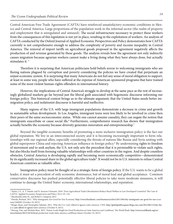Central American Free Trade Agreement (CAFTA) have reinforced unsatisfactory economic conditions in Mexico and Central America. Large proportions of the population work in the informal sector (the realm of property and employment that is unregulated and untaxed). The social infrastructure necessary to protect these workers from the consequences of this legislation is not yet in place, resulting in the exploitation of workers. An analysis of CAFTA conducted by the Oxford Journal of Applied Economic Perspectives and Policy demonstrates how CAFTA currently is not comprehensive enough to address the complexity of poverty and income inequality in Central America. The removal of import tariffs on agricultural goods proposed in the agreement negatively affects the production of and revenue generated by these goods. The analysis reveals how the agreement not only indirectly causes migration because agrarian workers cannot make a living doing what they have always done, but actually stimulates it.  $5$ 

Therefore it is surprising that American politicians hold beliefs averse to welcoming immigrants who are feeing nations plagued by corruption and poverty considering the policies we have created that perpetuate an unjust economic system. It is surprising that many Americans do not feel any sense of moral obligation to support, at least in some way, people who have sufered at the expense of American-sponsored programs that have trained some of the most violent human-rights ofenders in international history.

However, the implications of Central America's struggle to develop at the same pace as the rest of increasingly globalized markets go far beyond just the liberal guilt associated with hegemonic discourse informing our foreign policy. This historical context brings us to the ultimate argument; that the United States needs better immigration policy, and isolationist discourse is harmful and inefective.

Many regions of the U.S. with large immigrant populations demonstrate a decrease in crime and growth in sustainable urban development. In Los Angeles, immigrant teens were less likely to be involved in crime then their peers of the same socioeconomic status. While one cannot assume causality, they can negate the notion that immigrants exacerbate or cause social ills.<sup>6</sup> Furthermore, comprehensive research has shown that immigration actually benefits the economy because diversity generates innovation and entrepreneurship.<sup>7</sup>

Beyond the tangible economic benefts of promoting a more inclusive immigration policy is the fact our global reputation. We live in an interconnected society and it is becoming increasingly important to form relationships with our regional allies, especially considering the threats of nations like Russia and Syria uniting with global superpower China and rejecting American infuence in foreign policy.8 By undermining rights to freedom of movement and to seek asylum, the U.S. not only sets the precedent that it is permissible to violate such rights, but also blocks itself from forming valuable relationships with other countries in the region. And despite countless obstacles, Central America is developing rapidly and becoming more economically competitive—demonstrated by its significantly increased share in the global agriculture trade<sup>9</sup>. It would not be in U.S. interests to refuse Central American countries as valuable allies.

Immigration policy must be thought of as a strategic form of foreign policy. If the U.S. wants to be a global leader, it must set a precedent of only economic dominance, but of moral lead and global acceptance. Common conservative discourse has pushed potentially efective liberal policies to take more moderate measures, is will continue to damage the United States' economy, international relationships, and reputation.

<sup>5</sup> Taylor, J. E., A. Y. Naude, and N. Jesurun-Clements. 2010. 'Does Agricultural Trade Liberalization Reduce Rural Welfare in Less Developed Countries? Te Case of CAFTA.' Applied Economic Perspectives and Policy 32(1): 95–116.

<sup>6</sup> Macdonald, John M., and Robert J. Sampson 2012

<sup>7</sup> Florida, Richard. 2011. 'Why Immigrants Are Good for Our Economy.'<http://www.theatlantic.com/business/archive/2011/06/why-immigrants-are-good-for-our-econ>omy/240209/ (October 19, 2015).

<sup>8</sup> Berger, Ryan, and Christopher Sabatini. 2012. 'Why the U.S. Can't Aford to Ignore Latin America.' CNN. <http://globalpublicsquare.blogs.cnn.com/2012/06/13/why-the>u-s-cant-afford-to-ignore-latin-america/ (October 9, 2015).

<sup>&</sup>lt;sup>9</sup> Herzog, Tim, and Michele Ruta. 2015. 'Future Looks Bright for Food Production in Latin America and Caribbean'. The World Bank. [http://www.worldbank.org/en/](http://www.worldbank.org/en) news/feature/2013/10/16/food-production-trade-latin-america-caribbean-future (October 19, 2015).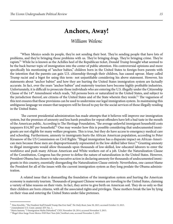### **Anchors, Away!**

#### *William Welenc*

"When Mexico sends its people, they're not sending their best. They're sending people that have lots of problems, and they're bringing those problems with us. They're bringing drugs. They're bringing crime. They're rapists."1 While he is known as the Achilles heel of the Republican ticket, Donald Trump brought what seemed to be the back burner topic of immigration into the center of public attention. His controversial opinions and more specifcally his mentioning of "anchor babies," children born in the United States to foreign-born parents with the intention that the parents can gain U.S. citizenship through their children, has caused uproar. Many called Trump racist and a bigot for using this term- not unjustifable considering his above statement. However, his statements about "anchor babies" and how they are hurting the United States immigration system are factually accurate. In fact, over the years "anchor babies" and maternity tourism have become highly proftable industries. Unfortunately, it is difficult to prosecute those individuals who are entering the U.S. illegally under the Citizenship Clause of the 14th Amendment which reads, "All persons born or naturalized in the United States, and subject to the jurisdiction thereof, are citizens of the United States and of the State wherein they reside."<sup>2</sup> The vagueness of this text ensures that these provisions can be used to undermine our legal immigration system. In maintaining this ambiguous language we ensure that taxpayers will be forced to pay for the social services of those illegally residing in the United States.

The current presidential administration has made attempts that it believes will improve our immigration system, but the promises of amnesty and less harsh penalties for repeat offenders have left a bad taste in the mouth of the American public. According to The Heritage Foundation, "the average unlawful immigrant household costs taxpayers \$14,387 per household."3 One may wonder how this is possible considering that undocumented immigrants are not eligible for many welfare programs. This is true, but they do have access to emergency medical care and schooling. Furthermore, amnesty to immigrants hurts the African American population, according to Peter Kirsanow of the US Commission on Civil Rights: "Illegal immigration has a disparate impact on African-American men because these men are disproportionately represented in the low-skilled labor force."4 Granting amnesty to illegal immigrants would allow thousands upon thousands of low-skilled, low educated laborers to enter the workforce and push many African American and White workers out of a job. Under the Naturalization Clause of the Constitution, Congress has the power to defne the nature of naturalization in the United States. However, President Obama has chosen to take executive action in declaring amnesty for thousands of undocumented immigrants in this country, essentially disregarding the Naturalization Clause entirely. Nevertheless, one cannot blame the President for all of the issues with the current immigration system as they long predate the Obama administration.

A related issue that is dismantling the foundation of the immigration system and hurting the American economy is maternity tourism. Thousands of pregnant Chinese women are traveling to the United States, claiming a variety of false reasons on their visits. In fact, they arrive to give birth on American soil. They do so only so that their children are born citizens, with all the associated rights and privileges. These mothers break the law by lying on their visas and entering the United States under false pretenses.

 $1$  Nina Strochlic, "The Dumbest Stuff Donald Trump Has Ever Said," *The Daily Beast*, June 30, 2015, accessed October 15, 2015.

<sup>&</sup>lt;sup>2</sup> [Amendment] U.S. Const. amend. XIV. Sec. 1.

<sup>&</sup>lt;sup>3</sup> Maria Santana, "5 Immigration Myths Debunked," *CNN*, November 20, 2014, accessed November 3, 2015.<br><sup>4 "Illegal Alien Surge From Mexico Will Hurt Teen Jobs" breithart com accessed November 3, 2015.</sup>

 <sup>&</sup>quot;Illegal Alien Surge From Mexico Will Hurt Teen Jobs", [breitbart.com,](https://breitbart.com) accessed November 3, 2015.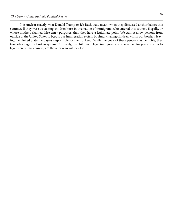It is unclear exactly what Donald Trump or Jeb Bush truly meant when they discussed anchor babies this summer. If they were discussing children born in this nation of immigrants who entered this country illegally, or whose mothers claimed false entry purposes, then they have a legitimate point. We cannot allow persons from outside of the United States to bypass our immigration system by simply having children within our borders, leaving the United States taxpayers responsible for their upkeep. While the goals of these people may be noble, they take advantage of a broken system. Ultimately, the children of legal immigrants, who saved up for years in order to legally enter this country, are the ones who will pay for it.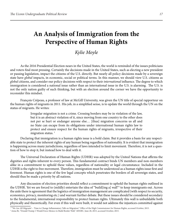### **An Analysis of Immigration from the Perspective of Human Rights**

#### *Kylie Moyle*

As the 2016 Presidential Election nears in the United States, the world is reminded of the issues politicians and voters fnd most pressing. Certainly the decisions made in the United States, such as electing a new president or passing legislation, impact the citizens of the U.S. directly. But nearly all policy decisions made by a sovereign state have *global* impacts, in economic, social or political terms. In this manner, we should view U.S. citizens as *global* citizens, and consider our policy decisions with respect to their *international* influence. The degree to which immigration is considered a national issue rather than an international issue in the U.S. is alarming. The U.S. is not the only nation guilty of such thinking, but with an election around the corner we have the opportunity to reconsider this mindset.

François Crépeau, a professor of law at McGill University, was given the UN title of special rapporteur on the human rights of migrants in 2011. His job, in a simplifed sense, is to update the world through the UN on the status of migrants. He writes:

> Irregular migration is not a crime. Crossing borders may be in violation of the law, but it is an abstract violation of it, since moving from one country to the other does not per se hurt or endanger anyone else… [thus] migration concerns us all and no State can escape from its obligations under international human rights law to protect and ensure respect for the human rights of migrants, irrespective of their migration status. $1$

Declaring that immigration is a human rights issue is a bold claim. But it provides a basis for any respectable state to protect the inherent rights of any human being regardless of nationality. It is evident that immigration is happening across many jurisdictions, regardless of laws intended to limit movement. Therefore, it is not a question of how to stop it, but instead how to deal with it.

The Universal Declaration of Human Rights (UDHR) was adopted by the United Nations that affirms the dignities and rights inherent to every person. This fundamental contract binds UN members and non-members alike in a commitment to uphold these values, regardless of nationality or legal circumstance. Included in the UDHR is the right to free movement. Therefore, immigration must be understood as a human rights issue first and foremost. Human rights is one of the few legal concepts which penetrates the borders of all sovereign states, and should thus be made a priority by all nations.

Any discussion of election priorities should refect a commitment to uphold the human rights outlined in the UDHR. Yet we are forced to (mildly) entertain the idea of "build[ing a] wall"2 to keep immigrants out. Across the aisle there is agreement that the logistics of immigration management are complicated (with respect to security, economics, privacy, monitoring etc.) and warrant further debate. But these issues should be considered secondary to the fundamental, international responsibility to protect human rights. Ultimately this wall is unbuildable both physically and theoretically. For even if this wall were built, it would not address the injustices committed against

<sup>&</sup>lt;sup>1 «</sup>We Are All Migrants' – Time to Change Inflammatory Talk on Migration." Office of the High Commissioner for Human Rights, accessed October, 2015.<br><sup>2</sup> Anna Br "Donald Trumn: I Would Force Mexico to Build Border Wall" *M* 

<sup>&</sup>lt;sup>2</sup> Anna Br, "Donald Trump: I Would Force Mexico to Build Border Wall," *MSNBC*, June 28, 2015, accessed October, 2015.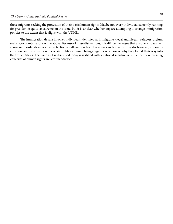those migrants seeking the protection of their basic human rights. Maybe not every individual currently running for president is quite so extreme on the issue, but it is unclear whether any are attempting to change immigration policies to the extent that it aligns with the UDHR.

The immigration debate involves individuals identified as immigrants (legal and illegal), refugees, asylum seekers, or combinations of the above. Because of these distinctions, it is difficult to argue that anyone who waltzes across our border deserves the protection we all enjoy as lawful residents and citizens. They do, however, undoubtedly deserve the protection of certain rights as human beings regardless of how or why they found their way into the United States. The issue as it is discussed today is instilled with a national selfishness, while the more pressing concerns of human rights are left unaddressed.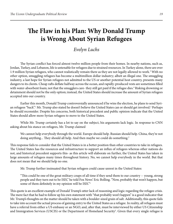# **The Flaw in his Plan: Why Donald Trump is Wrong About Syrian Refugees**

### *Evelyn Luchs*

The Syrian conflict has forced almost twelve million people from their homes. In nearby nations, such as, Jordan, Turkey, and Lebanon, life is untenable for refugees due to strained resources. In Turkey alone, there are over 1.9 million Syrian refugees, who cannot realistically remain there as they are not legally allowed to work.<sup>3</sup> With no other option, smuggling refugees has become a multimillion dollar industry; albeit an illegal one. The smuggling industry, a last hope for Syrian refugees not admitted to the US or another potential host country, presents many dangers to its clients. Cheap rafts deflate halfway across the ocean, and rapidly-produced vests are sometimes filled with water-absorbent foam; not that the smugglers care- they still get paid if the refugee dies.<sup>4</sup> Risking drowning or detainment should not be the only option; instead, the United States should increase the amount of Syrian refugees accepted into our country.

Earlier this month, Donald Trump controversially announced if he wins the election, he plans to send Syrian refugees "back".<sup>1</sup> Mr. Trump also stated he doesn't believe the United States can or should get involved.<sup>2</sup> Perhaps he should reconsider. Despite his concerns, both historical precedent and public opinion indicate that the United States should allow more Syrian refugees to move to the United States.

While Mr. Trump certainly has a lot to say on the subject, his arguments lack logic. In response to CNN asking about his stance on refugees, Mr. Trump claimed

We cannot help everybody through the world. Europe should help. Russian should help. China, they're not doing anything... They should all help. And then maybe we could do something.<sup>2</sup>

This response fails to consider that the United States is in a better position than other countries to take in refugees. The United States has the resources and infrastructure to support an influx of refugees whereas other nations do not, and historical precedent supports this- as this article will elaborate on further, the United States has taken in large amounts of refugees many times throughout history. No, we cannot help everybody in the world. But that does not mean that we should help no one.

Mr. Trump further insinuated that Syrian refugees could cause unrest in the United States:

"This could be one of the great military coups of all time if they send them to our country -- young, strong people and they turn out to be ISIS," he told Fox News' Eric Bolling. "Now, probably that won't happen, but some of them definitely in my opinion will be ISIS."<sup>1</sup>

This quote is an excellent example of Donald Trump's utter lack of reasoning and logic regarding the refugee crisis. The mere fact that he had to follow up his own statement with "that probably won't happen" is a good indicator that Mr. Trump's thoughts on the matter should be taken with a boulder-sized grain of salt. Additionally, this quote fails to take into account the actual process of gaining entry to the United States as a refugee. In reality, all refugees must have a referral from either a US embassy or an NGO, and, after that, must be interviewed by either US Citizenship and Immigration Services (USCIS) or the Department of Homeland Security<sup>5</sup>. Given that every single refugee is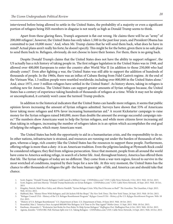interviewed before being allowed to settle in the United States, the probability of a majority or even a signifcant portion of refugees being ISIS members in disguise is not nearly as high as Donald Trump seems to think.

Apart from these glaring flaws, Trump's argument is flat-out wrong. He claims there will be an "army" of 200,000 refugees<sup>1</sup>, however, the United States has only taken 1,500 in the past four years, and President Obama has committed to just 10,000 more.<sup>1</sup> And, when Mr. Trump claims that he will send them back, what does he have in mind? Actual plans aren't really his forte; he doesn't specify. This might be for the better, given there is no safe place to send them back to. Refugees, obviously, do not choose to leave their homes. For them, there is no going back.

Despite Donald Trump's claims that the United States does not have the ability to support refugees<sup>1</sup>, the US actually has a rich history of taking people in. The first refugee legislation in the United States was in 1948, and allowed over 400,000 Europeans to enter the country afer World War II (in addition to those 250,000 who had already come)<sup>6</sup>. Even after fighting a war, the United States was still able to support the addition of hundreds of thousands of people. In the 1960s, there was an infux of Cubans feeing from Fidel Castro's regime. At the end of the Vietnam War, 1.3 million people were resettled worldwide; including over 800,000 in the United States alone.<sup>7</sup> And, since 1975, over 3 million refugees have settled in the United States<sup>6</sup>. As history shows, taking in refugees is nothing new for America. The United States can support greater amounts of Syrian refugees because, the United States has a century of experience taking hundreds of thousands of refugees at a time. While it may not be simple or uncomplicated, it certainly won't cause the turmoil Trump predicts.

In addition to the historical indicators that the United States can handle more refugees, it seems that public opinion favors increasing the amount of Syrian refugees admitted. Surveys have shown that 55% of Americans favor taking more refugees and 83% favor increasing humanitarian aid.<sup>9</sup> A recent Kickstarter campaign to raise money for the Syrian refugees raised \$40,000, more than double the amount the average successful campaign raises.<sup>8</sup> The numbers show Americans want to help the Syrian refugees, and while more citizens favor increasing aid than taking in refugees, increasing the number of refugees taken in is an option which accomplishes the end goal of helping the refugees, which many Americans want.

The United States has both the opportunity to aid in a humanitarian crisis, and the responsibility to do so. In other nations, infrastructure is strained, and resources are running out under the burden of thousands of refugees, whereas a large, rich country like the United States has the resources to support these people. Furthermore, ofering refuge is more than a duty- it is an American tradition. Even the pilgrims landing at Plymouth Rock could be considered refugees; they fed from religious persecution. Since that moment, people from all around the world have come to America seeking refuge, in search of a better life. And, throughout history, America has offered them that life. The Syrian refugees of today are no different. They come from a war-torn region, forced to survive in the most wretched of conditions, inspired by their hope for a new life. At this very moment, the United States has the chance to ofer thousands of refugees the gif- the basic human right- of life, and America can and should take that chance.

- 1. Scott, Eugene. "Donald Trump: Refugees Could Launch a Military Coup [CNNPolitics.com](https://CNNPolitics.com)." *CNN*. Cable News Network, 3 Oct. 2015. Web. 18 Oct. 2015.
- 2. Scott, Eugene, and Sara Murray. "Donald Trump Backtracks on Syrian Refugees - [CNNPolitics.com](https://CNNPolitics.com)." *CNN*. Cable News Network, 10 Sept. 2015. Web. 18 Oct. 2015.
- 3. Kingsley, Patrick, Mark Rice-Oxley, and Alberto Nardelli. "Syrian Refugee Crisis: Why Has It Become so Bad?" The Guardian. The Guardian, 4 Sept. 2015. Web. 18 Oct. 2015.
- 4. Hubbard, Ben. "Money Flows With Refugees, and Life Jackets Fill the Shops." *Te New York Times*. Te New York Times, 26 Sept. 2015. Web. 18 Oct. 2015.
- 5. "Refugee Council USA History of the U.S. Refugee Resettlement Program." *Refugee Council USA History of the U.S. Refugee Resettlement Program*. Web. 18 Oct. 2015.
- 6. "History of U.S. Refugee Resettlement." *U.S. Department of State*. U.S. Department of State, 19 June 2015. Web. 18 Oct. 2015.
- 7. Rosenthal, Max J. "America Once Accepted 800,000 War Refugees. Is It Time to Do Tat Again?"*Mother Jones*. 11 Sept. 2015. Web. 18 Oct. 2015.
- 8. Kaufman, Alexander C. "Kickstarter Just Broke Its Own Rules To Help Syrian Refugees." *Hufngton Post*. Hufngton Post, 6 Oct. 2015. Web. 18 Oct. 2015.
- 9. Agiesta, Jennifer. "CNN/ORC Poll: Partisan Split over U.S. Taking Refugees CNNPolitics.com."*CNN*. Cable News Network, 14 Sept. 2015. Web. 18 Oct. 2015.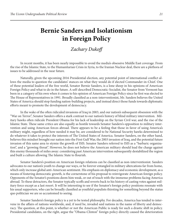# **Bernie Sanders and Isolationism in Foreign Policy**

### Zachary Dukoff

In recent months, it has been nearly impossible to avoid the media's obsessive Middle East coverage. From the rise of the Islamic State, to the Humanitarian Crisis in Syria, to the Iranian Nuclear deal, there are a plethora of issues to be addressed in the near future.

Naturally, given the upcoming 2016 Presidential election, any potential point of international confict allows the media to question the candidates' stances on what they would do if elected Commander-in-Chief. One of these potential leaders of the free world, Senator Bernie Sanders, is a lone sheep in his opinions of American Foreign Policy and what to do in the future. A self-described Democratic-Socialist, the Senator from Vermont has been in a category of his own when it comes to his opinion of American Foreign Policy since he frst was elected to The House of Representatives in 1991. Broadly classified as a non-interventionist, Mr. Sanders believes the United States of America should stop funding nation-building projects, and instead direct those funds towards diplomatic efforts meant to promote the development of democracy.

In the wake of the ofen ridiculed invasions of Iraq in 2003, and our nation's subsequent obsession with the "War on Terror", Senator Sanders offers a stark contrast to our nation's history of blind military intervention. Military hawks ofen ridicule President Obama for his lack of leadership on the Syrian Civil war, and the rise of the Islamic State. These same critics are also equally as hostile towards Senator Sanders's opposition to military intervention and using American forces abroad. There appears to be a feeling that those in favor of using America's military might, regardless of how needed it may be, are considered to be National Security hawks determined to do whatever it takes to protect the interests of The United States of America. Senator Sanders, on the other hand, believes this mindset brought our nation into the First Gulf War, the 2003 invasion of Iraq, and the potential future invasion of this same area to stymie the growth of ISIS. Senator Sanders referred to ISIS as a "barbaric organization", and a "growing threat". However, he does not believe the American military should lead the charge against this enemy thousands of miles away: considering past American intervention subsequently destabilized the region and built a culture allowing The Islamic State to flourish.

Senator Sanders's position on American foreign relations can be classifed as non-interventionist. Sanders advocates to our nation's youth to change our ways, or be forever entangled in military altercations far from home, which only increase global anti-American sentiment. His emphasis on diplomacy and economic development, as a means of fostering democratic growth, is the cornerstone of his proposal to reinvigorate American foreign policy. Opponents of the Senator's positions deem him weak, or out of touch with the immense problems facing America abroad. To these detractors, the Senator typically scofs and reverts back to his history of casting votes against military force except as a last resort. It will be interesting to see if the Senator's foreign policy positions resonate with his usual supporters, who can be broadly classifed as youthful populists thirsting for something beyond the status quo politician we are so accustomed to seeing.

Senator Sanders's foreign policy is a yet to be tested philosophy. For decades, America has tended to intervene in the afairs of nations worldwide, and, if need be, invaded said nations in the name of liberty and democracy. The question, at this point, is whether or not the American Public is ready for such a drastic shift in policy. Presidential candidates, on the right, argue the "Obama-Clinton" foreign policy directly caused the deterioration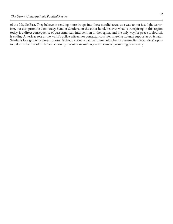of the Middle East. They believe in sending more troops into these conflict areas as a way to not just fight terrorism, but also promote democracy. Senator Sanders, on the other hand, believes what is transpiring in this region today, is a direct consequence of past American intervention in the region, and the only way for peace to fourish is ending Americas role as the world's police officer. For context, I consider myself a staunch supporter of Senator Sanders's foreign policy prescriptions. Nobody knows what the future holds, but in Senator Bernie Sanders's opinion, it must be free of unilateral action by our nation's military as a means of promoting democracy.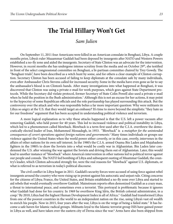### **The Trial Hillary Won't Get**

#### *Sam Julien*

On September 11, 2011 four Americans were killed in an American consulate in Benghazi, Libya. A couple months prior, Libya's ruler Muaammar Gaddaf had been deposed by insurgents afer NATO and Western Powers established a no-fy zone and aided the insurgents. Secretary of State Clinton was an advocate for the intervention. However, in recent months she has undergone intense scrutiny from the media and on October 29<sup>th</sup>, she testified in front of the select congressional committee on Benghazi, a bi-partisan committee chaired by Trey Gowdy. The "Benghazi trials", have been described as a witch hunt by some, and for others a clear example of Clinton corruption. Secretary Clinton has been accused of failing to keep diplomats at the consulate safe by many individuals, even after Ambassador Chris Stevens called for increased security. Some in the media have even gone as far to say the ambassador's blood is on Clinton's hands. Afer many investigations into what happened at Benghazi, it was discovered that Clinton was using a private e-mail for work purposes, which goes against State Department protocols. While the Secretary did violate protocol, former Secretary of State Colin Powell also used a private e-mail when he held the position in the Bush administration.<sup>1</sup> Although this is not an excuse for her actions, it may point to the hypocrisy of some Republican officials and the role partisanship has played surrounding this attack. But the controversy over the attack and who was responsible belies a far more important question: Why were militants in Libya so angry at the U.S. that they would target an embassy? It's time to move beyond the simplistic "they hate us for our freedoms" argument that has been accepted in understanding political violence and terrorism.

A more logical explanation as to why these attacks happened is that the U.S. left a power vacuum after removing Gaddafi, who held power for 40 years. This led to increased violence and political instability in Libya, which led to a phenomenon called blowback. Blowback is a term first used after the C.I.A. overthrew the democratically elected leader of Iran, Mohammed Mossadegh, in 1953. "Blowback" is a *metaphor for the unintended consequences of covert operations against foreign nations and governments*. 2 Many times individuals or groups use violence against the United States when the world power either covertly, or in this case, overtly, intervenes in the afairs of other nations for its own self-interest. In the 1980's the C.I.A. armed Osama Bin Laden and Mujahadeen fghters in the 1980's to draw the Soviets into a what would be costly war in Afghanistan. Bin Laden later condemned the U.S. afer winning the war against the Soviets and driving them out of Afghanistan. Later, this would lead to another instance of "blowback" where America's intervention in other nations led to political terror against our people and consuls. The NATO led bombing of Libya and subsequent ousting of Muammar Gaddafi, the country's leader, which Clinton advocated strongly for, were the real reasons for "blowback" against U.S. diplomats, or what is referred to as terrorism in today's political discourse.

coup.<sup>3</sup> By 2010, Libya had the highest Human Development Index in all of Africa.<sup>4</sup> Gaddafi had transformed Libya The civil conflict in Libya began in 2011. Gaddafi's security forces were accused of using force against rebel insurgents around the country who were rising up in protest against his autocratic and unjust rule. Citing concerns for the citizens of Libya; France, the United States, and Britain established a no-fy zone over Libya and started to aid rebels that would eventually overthrow Gaddafi. Mainstream reports often demonized Gaddafi as a crazy man, a threat to international peace, and sometimes even a terrorist. This portrayal is problematic because it ignores what Gaddaf had done for his country. In 1969 he overthrew King Idris, the British colonial administrator, in a from one of the poorest countries in the world to an independent nation on the rise, using Libya's vast oil wealth to enrich his people. Now in 2015, four years after the war, Libya is on the verge of being a failed state.<sup>5</sup> It has become a safe haven for Islamic radical groups. Militants loyal to the Islamic terrorist group ISIS have gained power in Libya as well, and have taken over the eastern city of Derna since the war.<sup>6</sup> Arms have also been shipped from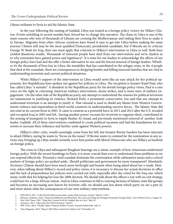Libyan militants to Syria to aid the Islamic State.

In the year following the ousting of Gaddaf, Libya was touted as a foreign policy victory for Hillary Clinton. Events unfolding in recent months have forced her to change this narrative. The chaos in Libya is one of the main reasons why tens of thousands of Libyans are crossing the Mediterranean and risking their lives to make it to Europe. Migrants from other African countries have found it easy to get into Libya before making the same journey Clinton still may be the most qualifed Democratic presidential candidate, but if liberals are to criticize George W. Bush for Iraq, then one must apply that criticism to Hillary's intervention in Libya as well. Both have yielded disastrous results. Thousands of innocent people have died from our intervention and we're clueless as to why extremists have gained power and legitimacy? It is time for our leaders to acknowledge the efects of our foreign policy have had and the ofer a better alternative to war and the forced removal of foreign leaders. Whether it's the thousands of lives lost in Libya, the instability that has contributed to the refugee crisis, or the 4 people that died at the consulate, there are consequences to dropping bombs and killing innocent families that are vital to understanding terrorism and current political situations.

While Hillary's support of the intervention in Libya would seem like an easy attack for her political opponents, few Republicans have spoken out against her policies in Libya. The exception is Senator Rand Paul, who has called Libya "a mistake". A dissident in the Republican party for his dovish foreign policy views, Paul is a rare voice on the right in criticizing American military intervention, drone strikes, and is more wary of military engagement. On the other side of the Republican party, any attempt to understand the reasons for political terrorism are tantamount to justifying its violence. Richard Perle, a prominent conservative, has said that any attempt to understand terrorism is an attempt to justify it. That rational is used to shield any blame from Western Governments violence and imperialism in third-world countries in understanding reactive forces. The Islamic State did not exist in its current form in 2001. It came to existent as a powerful force in 2011 and 2012 afer the U.S. invaded and occupied Iraq in 2003 and lef, leaving another power vacuum for terrorists to organize there, contributed to the arming of insurgents in Syria to topple Bashar Al-Assad, and previously mentioned removal of another Arab leader, Gaddaf. All of these interventions combined to create political vacuums and laid the foundations for terrorists to increase their infuence and further unite against Western powers.

Hillary's other critic, would seemingly come from her lef, but Senator Bernie Sanders has been reluctant to attack Hillary, saying he wants to "focus on the issues". If Bernie wants to contend for the nomination in any serious way, bringing up Libya would certainly score him points with liberal Democrats who see Hillary as hawkish on foreign policy,

The crisis in Libya and subsequent Benghazi hearings are a classic example of how Americans understand foreign policy. With the recent bombings in Paris, it is more crucial than ever to understand these problems so we can respond efectively. Personal e-mail scandals dominate the conversation while substantive issues and a critical analysis of foreign policy are pushed aside.. Should politicians and government be more transparent? Absolutely. Secretary Clinton should have been much more forthright and honest when being asked about her e-mails. However, when talking about Hillary's record and policy views, it is necessary to discuss her actual decisions in office and the lack of preparedness her policies were carried out with, especially afer she voted for the Iraq war, which many credit that for helping her lose the 2008 election. We should talk about the efects a war with no exit strategy could have for a large African nation. And as Libya continues to fall to warring factions of Islamic state like groups and becomes an increasing save-haven for terrorist cells, we should care less about which party we are a part of, and more about what the consequences of our own military interventions.

- 1. POLITICO. 2015. "Colin Powell relied on personal e-mails while secretary of state." March 3, 2015.
- 2. Johnson, Chalmers. 2010. "American Militarism and Blowback: Te Costs of Letting the Pentagon Dominate Foreign Policy." *New Political Science,* August 18.

3. New York Times. 1983. "King Idris, Ousted in 69 by Gaddaf, dies in Cairo." May 26.

- 4. Al Jazeera. 2011. "Libya afer the NATO Invasion." April 9.
- 5. NBC News. 2014. "Deadly Libyan Violence Pushes Country Towards Failed State". July 31.
- 6. Time Magazine. 2014. "Report: ISIS Takes Control of a Libyan City." November 19.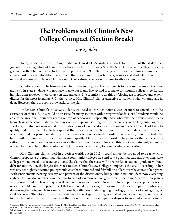# **The Problems with Clinton's New College Compact (Section Break)**

### *Joy Sgobbo*

Today, students are swimming in student loan debt. According to Mark Kantrowitz of the Wall Street Journal, the average student loan debt for the class of 2015 was over \$35,000. Seventy percent of college students graduate with debt, compared to fourty-five percent in 1993<sup>1</sup>. These changes hit students of low and middle incomes hard. College affordability is an issue that is extremely important to graduates and students. Therefore, it only makes sense that Hillary Clinton would take a strong stance on the issue to attract young voters.

Clinton's plan can be broken down into three main goals. The first goal is to increase the amount of state grants so in-state students will not have to take out loans. The second is to make community colleges free. Lastly, her plan aims to lower interest rates on student loans. She promises to do this by "closing tax loopholes and expenditures for the most fortunate."<sup>2</sup> On the surface, Mrs. Clinton's plan is attractive to students who will graduate in debt. However, there are some drawbacks to the plan.

Under Mrs. Clinton's initiative, students will need to work ten hours a week or more to contribute to the assistance of their aid. This could be an issue for many students with heavy workloads. Not all students would be able to balance a ten hour work week on top of schoolwork, especially those who take the heaviest work loads from classes; the same students that may even end up contributing the most to society in the long run. Logically speaking, the students who would be most deserving of a reduced-cost education are those who are least likely to qualify under this plan. It is to be expected that students contribute in some way to their education, however, if when fnalized her plan mandates that students work ten hours a week in order to receive aid, there may instantly be a signifcant number of students who cannot qualify. Many students do work to help pay for their college educations, and often times they may work more than ten hours a week<sup>2</sup>. However, this is not every student, and many will not be able to fulfll this requirement if it is necessary to qualify for a reduced-cost education.

Mrs. Clinton's plan is ideal in a perfect world, but in 2015 it could almost be too good to be true. Mrs. Clinton proposes a program that will make community colleges free and sets a goal that students attending state colleges will not need to take out any loans. She claims that the states will be rewarded if students graduate without debt for tuition. Yet, the largest drawback to Mrs. Clinton's New College Compact is the cost. According to her website, her higher education policy would cost three-hundred and ffy billion dollars over the course of ten years. With Entitlements nearing seventy-one percent of the discretionary budget and a national debt now exceeding eighteen trillion dollars, this is not the time to embark on more federal government spending. Since the new plan is so expensive, middle class taxpayers will face an even greater burden. New taxes to help pay for cheaper college educations could have the opposite efect that is intended, by making Americans even less able to pay for tuitions by decreasing their disposable income. Additionally, with more students going to college, the value of a college degree could decrease. Therefore, more students will need to seek graduate degrees that will make them more competitive in the job market. This will also increase the amount students have to pay for degrees to enter into the work force.

<sup>1</sup> wsj.com. 2015. "Congratulations, Class of 2015. You're the Most Indebted Ever (For Now.)" May 8.<http://blogs.wsj.com/economics/2015/05/08/congratulations-class>of-2015-youre-the-most-indebted-ever-for-now/ (accessed October 3, 2015).

<sup>2</sup>  [cbsnews.com](https://cbsnews.com). 2013. "More student working (a lot) in college." February 8. [http://www.cbsnews.com/news/more-students-working-a-lot-in-college/](http://www.cbsnews.com/news/more-students-working-a-lot-in-college) (date accessed October 3, 2015).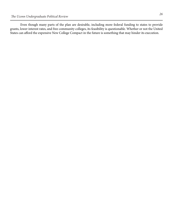Even though many parts of the plan are desirable, including more federal funding to states to provide grants, lower interest rates, and free community colleges, its feasibility is questionable. Whether or not the United States can aford the expensive New College Compact in the future is something that may hinder its execution.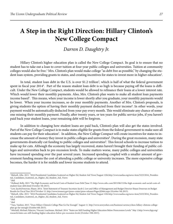### **A Step in the Right Direction: Hillary Clinton's New College Compact**

*Darren D. Daughtry Jr.* 

Hillary Clinton's higher education plan is called the New College Compact. Its goal is to ensure that no student has to take out a loan to cover tuition at four-year public colleges and universities. Tuition at community colleges would also be free.<sup>1</sup> Mrs. Clinton's plan would make college "as debt free as possible," by changing the student loan system, providing grants to states, and creating incentives for states to invest more in higher education<sup>2</sup>.

In total, student loan debt in the U.S. is over \$1.2 trillion<sup>3</sup>, which is half of what the federal government spent in fiscal year 2014<sup>4</sup>. Part of the reason student loan debt is so high is because paying off the loans is difficult. Under the New College Compact, students would be allowed to refnance their loans at a lower interest rate. Which would lower their monthly payments. Also, Mrs. Clinton's plan wants to make all student loan payments income based<sup>5</sup>. This means, when your income is lower shortly after you graduate, your monthly payments would be lower. When your income increases, so do your monthly payments. Another of Mrs. Clinton's proposals, is giving students the option of having their monthly payment deducted from their income<sup>6</sup>. In other words, your payment would be automatically deducted from your pay every month. This would eliminate any chance of someone missing their monthly payment. Finally, afer twenty years, or ten years for public service jobs, if you haven't paid back your student loans, your remaining debt will be forgiven.

In addition to changing how student loans are paid back, Clinton's plan will also get the states involved. Part of the New College Compact is to make states eligible for grants from the federal government to make sure all students can pay for their education<sup>7</sup>. In addition, the New College Compact will create incentives for states to increase the amount of money they invest in public colleges and universities<sup>8</sup>. During the great recession, many state governments drastically cut funding to public colleges and universities<sup>9</sup>. This forced schools to increase tuition to make up for cuts. Although the economy has largely recovered, states haven't brought their funding of public colleges and universities back to pre-recession levels. To make matters worse, many public colleges and universities have increased spending over the past several years. Increased spending coupled with a smaller amount of government funding means the cost of attending a public college or university increases. The more expensive college becomes, the harder it is for middle and lower income students to attend.

<sup>1</sup> Bidwell, Allie. 2015. "2016 Presidential Candidates Scattered on Higher Ed, Student Aid Views."August [12th.http://www.nasfaa.org/news-item/5223/2016\\_Presiden](https://12th.http://www.nasfaa.org/news-item/5223/2016_Presiden)tial\_Candidates\_Scattered\_on\_Higher\_Ed\_Student\_Aid\_Views

<sup>2</sup> ibid

<sup>3</sup> Holland, Kelly. 2015."Te High Economic and Social Costs of Student Loan Debt."June 15. <http://www.cnbc.com/2015/06/15/the-high-economic-and-social-costs-of>student-loan-debt.html (October 5th 2015).

<sup>&</sup>lt;sup>4</sup> Lew, Jacob;Donovan, Shaun. 2014. "Joint Statement of Treasury Secretary Jacob J. Lew and Office of Management and Budget Director Shaun Donovan on Budget Results for Fiscal Year 2014."October 15.<http://www.treasury.gov/press-center/press-releases/Pages/jl2664.aspx> (October 5th 2015). 5

<sup>&</sup>lt;sup>5</sup> Bidwell, Allie. 2015. "2016 Presidential Candidates Scattered on Higher Ed, Student Aid Views."August [12th.http://www.nasfaa.org/news-item/5223/2016\\_Presiden](https://12th.http://www.nasfaa.org/news-item/5223/2016_Presiden)tial\_Candidates\_Scattered\_on\_Higher\_Ed\_Student\_Aid\_Views

<sup>6</sup> ibid 7 ibid

<sup>8</sup> Vara, Vauhini. 2015. "Does Hillary Clinton's College Plan Go Far Enough." August 11. <http://www.newyorker.com/business/currency/does-hillary-clintons-college>plan-go-far-enough (October 6th 2015).

<sup>9</sup> Mitchell, Michael; Palacios, Vincent; Leachman, Michael. 2014. "States are Still Funding Higher Education Below Prerecession Levels." May [1.http://www.cbpp.org](https://1.http://www.cbpp.org)/ research/states-are-still-funding-higher-education-below-pre-recession-levels (October 19th 2015).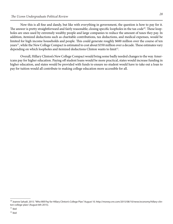Now this is all fne and dandy, but like with everything in government, the question is how to pay for it. The answer is pretty straightforward and fairly reasonable; closing specific loopholes in the tax code<sup>10</sup>. These loopholes are ones used by extremely wealthy people and large companies to reduce the amount of taxes they pay. In addition, itemized deductions such as charitable contributions, tax deductions, and medical expenses, would be limited for high income households and people. This could generate roughly \$600 million over the course of ten years<sup>11</sup>, while the New College Compact is estimated to cost about \$350 million over a decade. These estimates vary depending on which loopholes and itemized deductions Clinton wants to limit<sup>12</sup>.

Overall, Hillary Clinton's New College Compact would bring some badly needed changes to the way Americans pay for higher education. Paying off student loans would be more practical, states would increase funding in higher education, and states would be provided with funds to ensure no student would have to take out a loan to pay for tuition would all contribute to making college education more accessible for all.

<sup>&</sup>lt;sup>10</sup> Jeanne Sahadi. 2015. "Who Will Pay for Hillary Clinton's College Plan." August 10.<http://money.cnn.com/2015/08/10/news/economy/hillary-clin>ton-college-plan/ (August 6th 2015).

 $11$  ibid

 $12$  ibid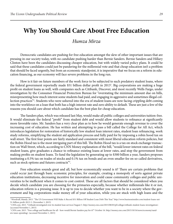### **Why You Should Care About Free Education**

#### *Humza Mirza*

Democratic candidates are pushing for free education amongst the slew of other important issues that are pressing in our society today, with no candidate pushing harder than Bernie Sanders. Bernie Sanders and Hillary Clinton have been the candidates discussing cheaper education, but with widely varied policy plans. It could be said that these candidates could just be pandering for the millennial vote and that cheap education isn't a problem that should be faced urgently, but from an economic standpoint, it is imperative that we focus on a reform in education fnancing, as our economy will face severe problems in the long run.

How is it fair on future members of the work force to be subjected to such predatory student loans, where the federal government reportedly made \$51 billion dollar proft in 20131 . Big corporations are making a huge proft on student loans as well, with companies such as Citibank, Discover, and most recently Wells Fargo, under investigation by the Consumer Financial Protection Bureau for "overstating the minimum amount due on bills, misrepresenting how much interest some students had paid, and engaging in aggressive and sometimes illegal collection practices"2 . Students who were ushered into the era of student loans are now facing crippling debt coming into the workforce on a loan that both has a high interest rate and zero ability to default. These are just a few of the reasons you should care about which candidate has the best plan for cheap education.

The Sanders plan, which was released last May, would make all public colleges and universities tuition-free. It would eliminate the federal "proft" from student debt and would allow students to refnance at signifcantly more favorable rates. Mr. Sanders has a very clear plan as to how he would generate enough revenue to cover the increasing cost of education. He has written and attempting to pass a bill called the College for All Act, which introduces legislation for restoration of historically low student loan interest rates, student loan refnancing, work study reforms, simplifying the student aid application process and fully paid for by imposing a robin hood tax on wall street. The first four points are fairly standard and consistent with most liberal education reform policies, but the Robin Hood tax is the most intriguing part of this bill. The Robin Hood tax is a tax on stock exchange transaction on Wall Street, which, according to CNN Money explanation of the bill, "would lower interest rates on federal student loans, give graduates a chance to refnance existing loans at lower rates, and stop the government from making profts on student loans. To fund the legislation by generating up to \$300 billion a year, Sanders proposes instituting a 0.5% tax on trades of stocks and 0.1% tax on bonds and an even smaller fee on so-called derivatives, such as stock options and futures contracts"<sup>3</sup>.

Free education sounds great and all, but how economically sound is it? There are certain problems that could occur just through basic economic principles, for example, creating a monopoly of sorts against private education institutions, decreasing incentive for innovation and could cause community colleges and public universities to be inefficient when it comes to cost control. These are all factors that should be considered when you decide which candidate you are choosing for the primaries especially, because whether millennials like it or not, education reform is a pressing issue. It is up to you to decide whether you want to be in a society where the government and big corporations make money off of your education, while you are stuck with high loans and the

3 CNN.com. 2015. "Free college and healthcare for all - how would Bernie Sanders pay for it?" October 16.<http://money.cnn.com/2015/10/16/news/economy/sand>ers-taxes-spending/. (accessed November 1, 2015)

<sup>1</sup> Woodruf, Mandy. 2013. "Te US Government Will Make A Record \$51 Billion Of Student Loan Debt Tis Year." <http://www.businessinsider.com/student-loans-net>-51-billion-proft-2013-5. (November 1, 2015) 2

<sup>&</sup>lt;sup>2</sup> CNN.com. 2015. "Citibank investigated over its student loan services."August 3. [http://money.cnn.com/2015/08/03/pf/college/citibank-student-loans-investigation/](http://money.cnn.com/2015/08/03/pf/college/citibank-student-loans-investigation). (accessed November 1, 2015)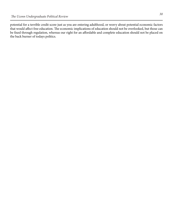potential for a terrible credit score just as you are entering adulthood, or worry about potential economic factors that would affect free education. The economic implications of education should not be overlooked, but those can be fxed through regulation, whereas our right for an afordable and complete education should not be placed on the back burner of todays politics.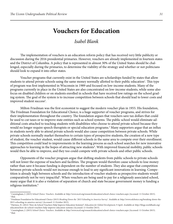### **Vouchers for Education**

#### *Isabel Blank*

The implementation of vouchers is an education reform policy that has received very little publicity or discussion during the 2016 presidential primaries. However, vouchers are already implemented in fourteen states and the District of Columbia. A policy that is represented in almost 30% of the United States should be challenged, especially during the primaries, to determine the viability of the strategy and whether or not politicians should look to expand it into other states.

Voucher programs that currently exist in the United States are scholarships funded by states that allow students to attend private schools using the same money normally allotted to their public education<sup>1</sup>. This type of program was frst implemented in Wisconsin in 1989 and focused on low-income students. Many of the programs currently in place in the United States are also concentrated on low-income students, while some also focus on disabled children or on students enrolled in schools that have received low ratings on the school grading system. The goal of the system is to increase competition between schools that should lead to lower costs and improved student success<sup>2</sup>.

Milton Friedman was the frst economist to suggest the modern voucher plan in 1955. His foundation, The Friedman Foundation for Educational Choice, is a huge supporter of voucher programs, and strives for their implementation throughout the country. The foundation argues that vouchers save tax dollars that could be used to cut taxes or to improve state entities such as school systems. The public school would eliminate additional costs attached to teaching students with disabilities who choose to attend private school because they would no longer require speech therapists or special education programs.<sup>3</sup> Many supporters argue that an influx in students newly able to attend private schools would also cause competition between private schools. While private schools normally market themselves to certain types of prospective students, the creation of a new type of student, the voucher student, would cause diferent schools in the same area to compete over their enrollment. This competition could lead to improvements in the learning process as each school searches for new innovative approaches to learning in the hopes of attracting new students<sup>4</sup>. With improved financial mobility, public schools would then be able to improve, and they too could compete with private schools and other public schools.

Opponents of the voucher program argue that shifing students from public schools to private schools will not lower the expense of teachers and facilities. The program would therefore cause schools to lose money rather than save it because funding is dependent on the number of students. They also argue that competition between private schools would not increase enough to lead to any signifcant innovations in learning. Competition is already high between schools and the introduction of voucher students as prospective students would comparatively not be very impactful<sup>5</sup>. When vouchers are being used to pay for a religiously associated school, many argue that it is also a violation of separation of church and state because government money is funding a religious institution.6

<sup>&</sup>lt;sup>1</sup> Cunningham, J. (2015) *School Choice: Vouchers.* Available at:<http://www.ncsl.org/research/education/school-choice-vouchers.aspx> (Accessed: 11 October 2015).<br><sup>2</sup> Ibid  $2$  Ibid.

<sup>&</sup>lt;sup>3</sup> Friedman Foundation for Educational Choice (2015) *Breaking Down the '2015 Schooling in America Survey'*. Available at: [http://www.edchoice.org/breaking-down-the-](http://www.edchoice.org/breaking-down-the)2015-schooling-in-america-survey/ (Accessed: 11 October 2015).

<sup>4</sup> Patrinos, H. (2012) 'How do School Vouchers Help Improve Education Systems?', *Education for Global Development*, 9 April. Available at: [http://blogs.worldbank.org/](http://blogs.worldbank.org) education/how-do-school-vouchers-help-improve-education-systems (Accessed: 11 October 2015).

<sup>&</sup>lt;sup>5</sup> Cunningham, J. (2015) *School Choice: Vouchers*. Available at:<http://www.ncsl.org/research/education/school-choice-vouchers.aspx> (Accessed: 11 October 2015).<br><sup>6</sup> Ibid <sup>6</sup> Ibid.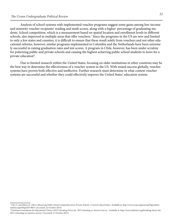Analysis of school systems with implemented voucher programs suggest some gains among low-income and minority voucher recipients' reading and math scores, along with a higher percentage of graduating students. School competition, which is a measurement based on spatial location and enrollment levels in diferent schools, also improved in multiple areas that offer vouchers.<sup>7</sup> Since the programs in the US are new and limited to only a few states and counties, it is difficult to ensure that these result solely from vouchers and not other educational reforms, however, similar programs implemented in Colombia and the Netherlands have been extremely successful in raising graduation rates and test scores. A program in Chile, however, has been under scrutiny for polarizing public and private schools and causing the highest achieving public school students to leave for a private education<sup>8</sup>.

Due to limited research within the United States, focusing on older institutions in other countries may be the best way to determine the efectiveness of a voucher system in the US. With mixed success globally, voucher systems have proven both efective and inefective. Further research must determine in what context voucher systems are successful and whether they could efectively improve the United States' education system.

<sup>7</sup> Chi, G. and Misra, K. (2011) *Measuring Public School Competition from Private Schools: A Gravity-Based Index*. Available at: <http://www.scirp.org/journal/PaperInfor>mation.aspx?PaperID=8027 (Accessed: 22 October 2015).

<sup>8</sup> Friedman Foundation for Educational Choice (2015) *Breaking Down the '2015 Schooling in America Survey'.* Available at: [http://www.edchoice.org/breaking-down-the-](http://www.edchoice.org/breaking-down-the)2015-schooling-in-america-survey/ (Accessed: 11 October 2015).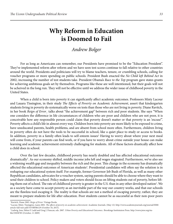# **Why Reform in Education is Doomed to Fail**

#### *Andrew Bolger*

For as long as Americans can remember, our Presidents have promised to be the "Education President". They've implemented reform after reform and we have seen test scores continue to fall relative to other countries around the world. Presidents and politicians will try to blame teachers, tenure, or crumbling schools, calling for voucher programs or more spending on public schools. President Bush enacted the *No Child left Behind Act* in 2002, increasing the number of test students take. President Obama's *Race to the Top* program gave states grants for achieving ambitious goals set by themselves. Programs like these are well intentioned, but their goals will not be acheived in the long run. They will not be effective until we address the wider issue of childhood poverty in the United States.

When a child is born into poverty it can signifcantly afect academic outcomes. Professors Misty Lacour and Lauara Tissington, in their study *The Effects of Poverty on Academic Achievement*, assert that kindergarten students living in poverty do systematically worse on tests than those who are not living in poverty. Diane Ravitch, in her book *Reign of Error*¸ talks about "the achievement gap" between rich and poor students. She says "When one considers the diference in life circumstances of children who are poor and children who are not poor, it is conceivable how any responsible person could claim that poverty doesn't matter or that poverty is an 'excuse'". Poverty afects a child's life in almost every way. Children born into poverty are more likely to be exposed to crime, have uneducated parents, health problems, and are absent from school more ofen. Furthermore, children living in poverty ofen do not have the tools to be successful in school, like a quiet place to study or access to books. In addition, poverty in a family often leads to self-esteem issues<sup>1.</sup> Having to worry about where your next meal will come from, if your parents can fnd work, or if you have to worry about crime outside your house can make learning and academic achievement extremely challenging for students. All of these factors drastically afect how a child does in school.

Over the last few decades, childhood poverty has nearly doubled and has afected educational outcomes dramatically<sup>2</sup>. As our economy shifted, middle income jobs left and wages stagnated. Furthermore, we've also see a widening wealth gap and inequality between the rich and the poor. This change in the economy has dramatically affected the educational outcomes of American students<sup>3</sup>. Presidential candidates will often say the solution is in reshaping our educational system itself. For example, former Governor Jeb Bush of Florida, as well as many other Republican candidates, advocates for a voucher system, saying parents should be able to choose where they want to send their children to school. Policy makers and voters should focus on lifing students out of poverty, before lifing them out of school. The rate of childhood poverty is greater in the U.S. than in any other developed nation<sup>1</sup>. We as a society have come to accept poverty as an inevitable part of the way our country works, and that our schools are the flawless tool escaping it. The reality is that schools are not a method of escaping poverty; rather, they are meant to prepare students for life afer education. Poor students cannot be as successful as their non-poor peers

<sup>&</sup>lt;sup>1</sup> Ravitch, Diane 2003. *Reign of Error:* Vintage Books<br><sup>2</sup> Lacour, Misty. Tissington, Laura 2001. *The effects of poverty on academic achievement.* Academic Journals. (May 12): http://www.academicjournals.org/journal/ERR article-full-text-pdf/31F3BFB6129 (October 10, 2015).

<sup>3</sup> Ludwig, Jens, Helen F. Ladd and Greg J. Duncan, eds. 2007. *Urban Poverty and Educational Outcomes*.: Brookings Institutuion Press.<http://www.jstor.org/sta>ble/25058785 (October, 11 2009)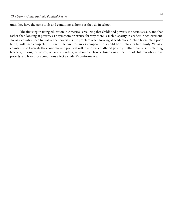until they have the same tools and conditions at home as they do in school.

The first step in fixing education in America is realizing that childhood poverty is a serious issue, and that rather than looking at poverty as a symptom or excuse for why there is such disparity in academic achievement. We as a country need to realize that poverty is the problem when looking at academics. A child born into a poor family will have completely diferent life circumstances compared to a child born into a richer family. We as a country need to create the economic and political will to address childhood poverty. Rather than strictly blaming teachers, unions, test scores, or lack of funding, we should all take a closer look at the lives of children who live in poverty and how those conditions afect a student's performance.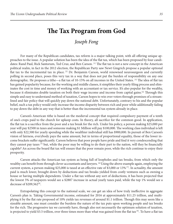### **The Tax Program from God**

#### *Joseph Fong*

For many of the Republican candidates, tax reform is a major talking point, with all offering unique approaches to the issue. A popular solution has been the idea of the fat tax, which has been proposed by four candidates: Rand Paul, Rick Santorum, Ted Cruz, and Ben Carson. [1] The flat tax is not a new concept in the American political realm, in fact in the 2012 election, the Republican Party saw Newt Gingrich propose a popular optional flat tax to the incremental tax in place. <sup>[2]</sup> Dr. Benjamin Carson, world renowned neurosurgeon and currently polling in second place, poses this very tax in a way that does not put the burden of responsibility on any one demographic. He proposes a tithe—a flat tax of 10-15% on all incomes in the United States. [3] The idea of flat tax has gained popularity because, for the working and middle classes, it simplifes their yearly fling process and eliminates the cost in time and money of working with an accountant or tax service. It's also popular for the wealthy, because it eliminates double taxation on both their wage income and income from capital gains.<sup>[4]</sup> Through this simple and easy to understand method of taxation, Carson hopes to win over voters through promises of a streamlined and fair policy that will quickly pay down the national debt. Unfortunately, contrary to his and the popular belief, such a tax policy would only increase the income disparity between rich and poor while additionally failing to pay down the debt in any way that is better than the incremental tax system already in place.

Carson's American tithe is based on the medieval concept that required compulsory payment of a tenth of one's crops paid to the church for upkeep costs. In theory, all sacrifce for the common good. In application, the fat tax is a sacrifce from the poor and a tax break for the rich. Under his policy, a person making \$25,000 per year will pay \$2500 in taxes and someone making \$1 Million will pay \$100,000. The working class individual is left with only \$22,500 for yearly spending while the wealthier individual still has \$900,000. In pursuit of Ben Carson's vision of fairness, everybody pays the same amount, but in terms of proportional equality, those of the lower income brackets sufer signifcantly. Carson believes that poor people have pride and fnd it very condescending that they cannot pay taxes [5] but, while the poor may be willing to do their part to the nation, will they be fnancially capable? An across the board fat tax will ensure that the poor remain poor, while the rich continue to enjoy their prosperity.

Carson attacks the American tax system as being full of loopholes and tax breaks, from which only the wealthy can beneft from through clever accountants and lawyers. [6] Using the above example again, employing the current system, a person making \$25,000 is taxed at an effective rate of \$3,000 or 13% <sup>[7]</sup>. In actuality, the amount paid is much lower, brought down by deductions and tax breaks yielded from costly ventures such as owning a house or having multiple dependents. Under a flat tax without any sort of deductions, it has been projected that the lowest 5% of taxpayers would see a \$2887 increase in actual yearly taxes paid, while the top 1% would see a decrease of \$209,562[8].

Extrapolating this concept to the national scale, we can get an idea of how truly inefective in aggregate Carson's plan is. Taking Governmental income, estimated for 2016 at approximately \$11.25 trillion, and multiplying it by the flat rate proposed of 10% yields tax revenues of around \$1.1 trillion. Though this may seem like a sizeable amount, one must consider the burdens the nature of the tax puts upon working people and tax breaks for the rich. The progressive tax we currently have, though also not necessarily the optimum solution of taxation, is projected to yield \$3.5 trillion, over three times more than what was gained from the flat tax [9]. To have a flat tax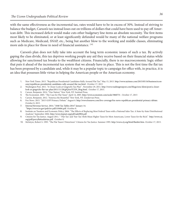with the same efectiveness as the incremental tax, rates would have to be in excess of 30%. Instead of striving to balance the budget, Carson's tax instead loses out on trillions of dollars that could have been used to pay off American debt. This increased deficit would make cuts other budgetary line items an absolute necessity. The first items most likely to be eliminated, or at least signifcantly defunded would be many of the national welfare programs such as Medicare, Medicaid, SNAP, etc., being but another blow to the working and middle classes, eliminating more aids in place for those in need of fnancial assistance. [10]

Carson's plan does not fully take into account the long term economic issues of such a tax. By actively gaping the class divide, this tax deprives working people any aid they receive based on their fnancial status while allowing for sanctioned tax breaks to the wealthiest citizens. Financially, there is no macroeconomic logic either that puts it ahead of the incremental tax system that we already have in place. This is not the first time the flat tax has been proposed by a candidate and, while it may be a popular topic to campaign for office with, in practice, it is an idea that possesses little virtue in helping the American people or the American economy.

- 1. New York Times. 2015. "Republican Presidential Candidates Rally Around Flat Tax." May 15, 2015. <http://www.nytimes.com/2015/05/16/business/econ>omy/republican-presidential-candidates-rally-around-fat-tax.html . October 17, 2015
- 2. Washington Post. 2011. "A Closer Look at Gingrich's Tax Plan" . November 29, 2011. <http://www.washingtonpost.com/blogs/ezra-klein/post/a-closer>look-at-gingrichs-fat-tax-plan/2011/11/28/gIQAn5Y25N\_blog.html . October 17, 2015.
- 3. Carson, Benjamin. 2014. "One Nation." New York, NY. Sentinel Press.
- 4. The Economist. 2005. "The Case for Flat Taxes" April 14, 2005. <http://www.economist.com/node/3860731> . October 17, 2015
- 5. Carson, Benjamin. 2012. "America the Beautiful." New York, NY. Zondervan Press.
- 6. Fox News. 2015. "2015 GOP Primary Debate." August 6. [http://www.foxnews.com/live-coverage/fox-news-republican-presidential-primary-debate.](http://www.foxnews.com/live-coverage/fox-news-republican-presidential-primary-debate) October 8, 2015.
- 7. Internal Revenue Service. 2014. "1040 Tax Tables 2014" January 14. "<https://www.irs.gov/pub/irs-pdf/i1040tt.pdf>. October 8.
- 8. Institute on Taxation and Economic Policy. 2004. "Te Efects of Replacing Most Federal Taxes with a National Sales Tax: A State-by-State Distributional Analysis," September 2004. <http://www.itepnet.org/pdf/sale0904.pdf>
- 9. Citizens for Tax Justice. August 2011. " 'Flat Tax' and 'Fair Tax' Both Mean Higher Taxes for Most Americans, Lower Taxes for the Rich." <http://www.ctj>. org/pdf/perryfattaxfairtax.pdf . October 8.
- 10. McIntyre, Robert S. 1995. "Te Flat Taxers' Distortions". Citizens for Tax Justice. Summer 1995. [http://www.ctj.org/html/fatdstr.htm](http://www.ctj.org/html/flatdstr.htm). October 17, 2015.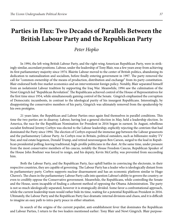### **Parties in Flux: Two Decades of Parallels Between the British Labour Party and the Republican Party**

#### *Peter Hopko*

In 1994, the left-wing British Labour Party, and the right-wing American Republican Party, were in strikingly similar, ascendant positions. Labour, under the leadership of Tony Blair, was a few years away from achieving its frst parliamentary majority since 1974. Blairite Labour moved to the center of British politics, abandoning its dedication to nationalization and socialism, before finally entering government in 1997. The party removed the call for "common ownership of the means of production, distribution and exchange" from its party constitution. Blair endorsed both free market economics and an interventionist foreign policy. Notably, Blair separated himself from an isolationist Labour tradition by supporting the Iraq War. Meanwhile, 1994 saw the culmination of the Newt Gingrich led "Republican Revolution". The Republicans achieved control of the House of Representatives for the frst time since 1954, while simultaneously gaining control of the Senate. Gingrich emphasized the corruption of Democratic incumbents, in contrast to the ideological purity of his insurgent Republicans. Interestingly, by disappointing the conservative members of his party, Gingrich was ultimately removed from the speakership by his own protégées.

21 years later, the Republican and Labour Parties once again find themselves in parallel conditions. This time the two parties are in disarray. Labour, having lost a general election in May, held a leadership election. In America, the race for the Republican Nomination for President in 2016 began in earnest. In August, rebellious socialist frebrand Jeremy Corbyn was elected to the Labour leadership; explicitly rejecting the centrism that had dominated the Party since 1994. The election of Corbyn exposed the immense gap between the Labour grassroots and the parliamentary Labour Party. As Corbyn rose in Britain, political outsiders, such as billionaire reality TV Star, and real estate hegemon, Donald Trump, and retired neurosurgeon Ben Carson, surged to the lead in Republican presidential polling; leaving traditional, high-profle politicians in the dust. At the same time, under pressure from the most conservative members of his caucus, notably the House Freedom Caucus, Republican Speaker of the House John Boehner was forced to resign, and his deputy, Kevin McCarthy, was prevented from succeeding him.

Both the Labour Party, and the Republican Party, face uphill battles in convincing the electorate, in their respective countries, they are capable of governing. The Labour Party has a leader who is ideologically distant from its parliamentary party. Corbyn supports nuclear disarmament and has an economic platform similar to Hugo Chavez's. The chaos in the parliamentary Labour Party calls into question Labour's ability to govern the country; or even to credibly oppose the Conservative government. Meanwhile, the Republicans, while controlling the Senate and the House, seem incapable of finding a coherent method of opposing the Obama Administration. The party is not so much ideologically separated, however it is strategically divided. Some favor a confrontational approach, while the current leadership team would rather bide its time, waiting for a potential Republican President in 2016. Ultimately, the Labour Party and the Republican Party face dramatic internal divisions and chaos, and it is difficult to imagine an easy path to intra-party peace in either situation.

In search of the origins of the current populist, anti-establishment fever that dominates the Republican and Labour Parties, I return to the two leaders mentioned earlier: Tony Blair and Newt Gingrich. Blair purpose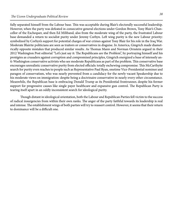fully separated himself from the Labour base. This was acceptable during Blair's electorally successful leadership. However, when the party was defeated in consecutive general elections under Gordon Brown, Tony Blair's Chancellor of the Exchequer, and then Ed Miliband, also from the moderate wing of the party, the frustrated Labour base demanded a return to socialist purity under Jeremy Corbyn. Left wing purity is the new Labour priority: symbolized by Corbyn's support for potential charges of war crimes against Tony Blair for his role in the Iraq War. Moderate Blairite politicians are seen as traitors or conservatives in disguise. In America, Gingrich made diametrically opposite mistakes that produced similar results. As Thomas Mann and Norman Ornstein argued in their 2012 Washington Post editorial "Let's just say it: The Republicans are the Problem", by portraying himself and his protégées as crusaders against corruption and compromised principles, Gingrich energized a base of intensely anti-Washington conservative activists who see moderate Republicans as part of the problem. This conservative base encourages unrealistic conservative purity from elected officials: totally eschewing compromise. This McCarthyite search for purity even reaches to people such as Representative Paul Ryan, onetime Vice-Presidential nominee and paragon of conservatism, who was nearly prevented from a candidacy for the newly vacant Speakership due to his moderate views on immigration: despite being a doctrinaire conservative in nearly every other circumstance. Meanwhile, the Republican base is embracing Donald Trump as its Presidential frontrunner, despite his former support for progressive causes like single payer healthcare and expansive gun control. The Republican Party is tearing itself apart in an oddly inconsistent search for ideological purity.

Though distant in ideological orientation, both the Labour and Republican Parties fell victim to the success of radical insurgencies from within their own ranks. The anger of the party faithful towards its leadership is real and intense. The establishment wings of both parties will try to reassert control. However, it seems that their return to dominance will be a difficult one.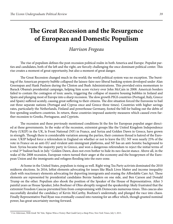### **The Great Recession and the Resurgence of European and Domestic Populism**

### *Harrison Fregeau*

The rise of populism defines the post-recession political realm in both America and Europe. Populist parties and candidates, both of the left and the right, are fiercely challenging the once dominant political center. This rise creates a moment of great opportunity, but also a moment of great danger.

The Great Recession changed much in the world; the world political system was no exception. The bursting of the American property bubble collapsed the laissez-faire neo-liberal banking system developed under Alan Greenspan and Hank Paulson during the Clinton and Bush Administrations. This provided extra momentum to Barack Obama's presidential campaign, helping him score victory over John McCain in 2008. America's borders failed to contain the contagion of toxic assets, triggering the collapse of massive housing bubbles in Ireland and Spain and plunging most of Europe into a sharp recession. The slow growth PIGS countries (Portugal, Italy, Greece and Spain) suffered acutely, causing great suffering to their citizens. The dire situation forced the Eurozone to bail out three separate nations (Portugal and Cyprus once and Greece three times). Countries with higher savings rates, particularly the Netherlands, Finland and powerhouse Germany, footed the bill for bailing out the debts of free spending southern countries. In return, these countries imposed austerity measures which caused even further recession to Greeks, Portuguese, and Cypriots.

The recession and these previously mentioned conditions lit the fire for European populist anger directed at these governments. In the wake of the recession, extremist groups like the United Kingdom Independence Party (UKIP) in the UK, le Front National (NF) in France, and Syriza and Golden Dawn in Greece, have grown in strength. Though there is considerable variation among the parties, their common thread is hatred of the Eurozone. UKIP helped force a referendum in England on whether or not to leave the EU. NF won nearly 25% of the vote in France on an anti-EU and virulent anti-immigrant platforms, and NF has an anti-Semitic background to boot. Syriza became the majority party in Greece, and won a dangerous referendum to reject the initial terms of a vital 3<sup>rd</sup> bailout back in July.<sup>1</sup> Golden Dawn, does not even bother to hide its neo-fascist stance. Above all, in the wake of the 2008 recession, European voters turned their anger at the economy and the boogeymen of the European Union and the immigrants and refugees fooding into the euro-zone.

At home in the United States, populism is rising as well. Right wing Tea Party activists dominated the 2010 midterm elections. In 2016, lefist elements advocating for issues like Black Lives Matter and income inequality clash with reactionary elements advocating for deporting immigrants and erasing the Affordable Care Act. These elements are represented by presidential candidates Bernie Sanders on one side, and Ben Carson and Donald Trump on the other. Populism also shook the position of the Speaker of the House of Representatives. Afer 5 painful years as House Speaker, John Boehner of Ohio abruptly resigned the speakership: likely frustrated that the extremist Freedom Caucus prevented him from compromising with Democrats numerous times. This caucus also successfully derailed the candidacy of Kevin McCarthy, Boehner's understudy, and plunged the race into chaos. Finally Representative Paul Ryan was eventually coaxed into running for an office which, though granted nominal power, has great uncertainty moving forward.

<sup>&</sup>lt;sup>1</sup> I Liz Alderman, *With Greek 'No' Vote, Tsipras Wins a Victory That Could Carry a Steep Price, New York Times, July 5, 2015.*